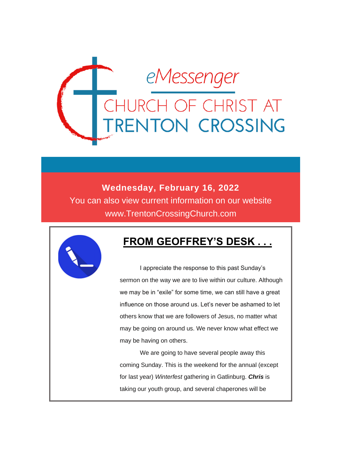

**Wednesday, February 16, 2022** You can also view current information on our website www.TrentonCrossingChurch.com



## **FROM GEOFFREY'S DESK . . .**

 I appreciate the response to this past Sunday's sermon on the way we are to live within our culture. Although we may be in "exile" for some time, we can still have a great influence on those around us. Let's never be ashamed to let others know that we are followers of Jesus, no matter what may be going on around us. We never know what effect we may be having on others.

 We are going to have several people away this coming Sunday. This is the weekend for the annual (except for last year) *Winterfest* gathering in Gatlinburg. *Chris* is taking our youth group, and several chaperones will be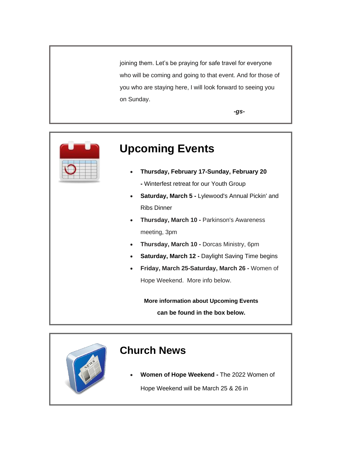joining them. Let's be praying for safe travel for everyone who will be coming and going to that event. And for those of you who are staying here, I will look forward to seeing you on Sunday.

*-gs-*



# **Upcoming Events**

- **Thursday, February 17-Sunday, February 20 -** Winterfest retreat for our Youth Group
- **Saturday, March 5 -** Lylewood's Annual Pickin' and Ribs Dinner
- **Thursday, March 10 -** Parkinson's Awareness meeting, 3pm
- **Thursday, March 10 -** Dorcas Ministry, 6pm
- **Saturday, March 12 -** Daylight Saving Time begins
- **Friday, March 25-Saturday, March 26 -** Women of Hope Weekend. More info below.

**More information about Upcoming Events can be found in the box below.**

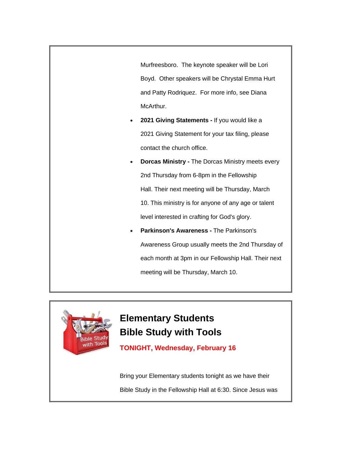Murfreesboro. The keynote speaker will be Lori Boyd. Other speakers will be Chrystal Emma Hurt and Patty Rodriquez. For more info, see Diana McArthur.

- **2021 Giving Statements -** If you would like a 2021 Giving Statement for your tax filing, please contact the church office.
- **Dorcas Ministry -** The Dorcas Ministry meets every 2nd Thursday from 6-8pm in the Fellowship Hall. Their next meeting will be Thursday, March 10. This ministry is for anyone of any age or talent level interested in crafting for God's glory.
- **Parkinson's Awareness -** The Parkinson's Awareness Group usually meets the 2nd Thursday of each month at 3pm in our Fellowship Hall. Their next meeting will be Thursday, March 10.



## **Elementary Students Bible Study with Tools**

**TONIGHT, Wednesday, February 16**

Bring your Elementary students tonight as we have their Bible Study in the Fellowship Hall at 6:30. Since Jesus was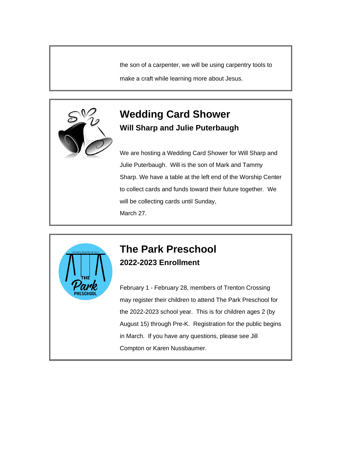the son of a carpenter, we will be using carpentry tools to

make a craft while learning more about Jesus.



#### **Wedding Card Shower Will Sharp and Julie Puterbaugh**

We are hosting a Wedding Card Shower for Will Sharp and Julie Puterbaugh. Will is the son of Mark and Tammy Sharp. We have a table at the left end of the Worship Center to collect cards and funds toward their future together. We will be collecting cards until Sunday, March 27.



### **The Park Preschool 2022-2023 Enrollment**

February 1 - February 28, members of Trenton Crossing may register their children to attend The Park Preschool for the 2022-2023 school year. This is for children ages 2 (by August 15) through Pre-K. Registration for the public begins in March. If you have any questions, please see Jill Compton or Karen Nussbaumer.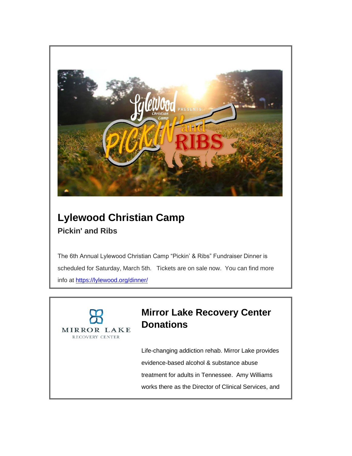

## **Lylewood Christian Camp Pickin' and Ribs**

The 6th Annual Lylewood Christian Camp "Pickin' & Ribs" Fundraiser Dinner is scheduled for Saturday, March 5th. Tickets are on sale now. You can find more info at <https://lylewood.org/dinner/>



## **Mirror Lake Recovery Center Donations**

Life-changing addiction rehab. Mirror Lake provides evidence-based alcohol & substance abuse treatment for adults in Tennessee. Amy Williams works there as the Director of Clinical Services, and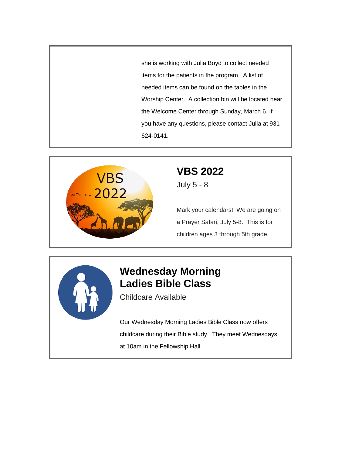she is working with Julia Boyd to collect needed items for the patients in the program. A list of needed items can be found on the tables in the Worship Center. A collection bin will be located near the Welcome Center through Sunday, March 6. If you have any questions, please contact Julia at 931- 624-0141.



# **VBS 2022**

July 5 - 8

Mark your calendars! We are going on a Prayer Safari, July 5-8. This is for children ages 3 through 5th grade.



## **Wednesday Morning Ladies Bible Class**

Childcare Available

Our Wednesday Morning Ladies Bible Class now offers childcare during their Bible study. They meet Wednesdays at 10am in the Fellowship Hall.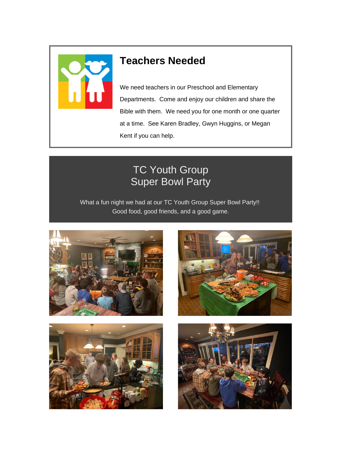

## **Teachers Needed**

We need teachers in our Preschool and Elementary Departments. Come and enjoy our children and share the Bible with them. We need you for one month or one quarter at a time. See Karen Bradley, Gwyn Huggins, or Megan Kent if you can help.

## TC Youth Group Super Bowl Party

What a fun night we had at our TC Youth Group Super Bowl Party!! Good food, good friends, and a good game.







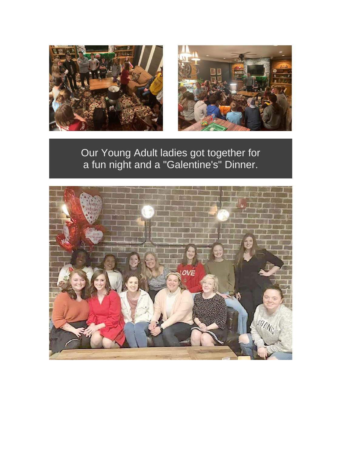



Our Young Adult ladies got together for a fun night and a "Galentine's" Dinner.

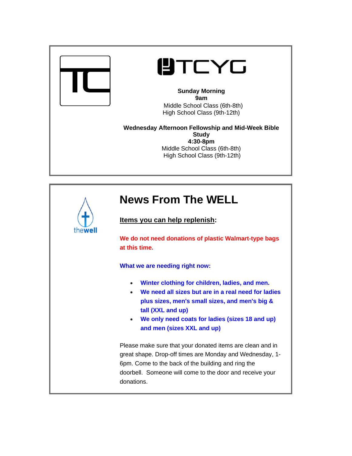

# **UTCYG**

**Sunday Morning 9am** Middle School Class (6th-8th) High School Class (9th-12th)

**Wednesday Afternoon Fellowship and Mid-Week Bible Study 4:30-8pm** Middle School Class (6th-8th) High School Class (9th-12th)

| thewell | <b>News From The WELL</b>                                                                                                                                                                                                                                                                            |
|---------|------------------------------------------------------------------------------------------------------------------------------------------------------------------------------------------------------------------------------------------------------------------------------------------------------|
|         | Items you can help replenish:                                                                                                                                                                                                                                                                        |
|         | We do not need donations of plastic Walmart-type bags<br>at this time.                                                                                                                                                                                                                               |
|         | What we are needing right now:                                                                                                                                                                                                                                                                       |
|         | Winter clothing for children, ladies, and men.<br>$\bullet$<br>We need all sizes but are in a real need for ladies<br>$\bullet$<br>plus sizes, men's small sizes, and men's big &<br>tall (XXL and up)<br>We only need coats for ladies (sizes 18 and up)<br>$\bullet$<br>and men (sizes XXL and up) |
|         | Please make sure that your donated items are clean and in<br>great shape. Drop-off times are Monday and Wednesday, 1-<br>6pm. Come to the back of the building and ring the<br>doorbell. Someone will come to the door and receive your<br>donations.                                                |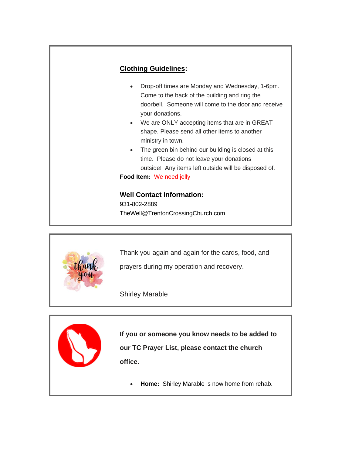



Thank you again and again for the cards, food, and

prayers during my operation and recovery.

Shirley Marable



**If you or someone you know needs to be added to our TC Prayer List, please contact the church office.**

• **Home:** Shirley Marable is now home from rehab.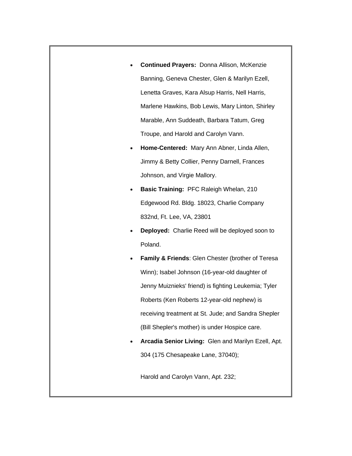- **Continued Prayers:** Donna Allison, McKenzie Banning, Geneva Chester, Glen & Marilyn Ezell, Lenetta Graves, Kara Alsup Harris, Nell Harris, Marlene Hawkins, Bob Lewis, Mary Linton, Shirley Marable, Ann Suddeath, Barbara Tatum, Greg Troupe, and Harold and Carolyn Vann.
- **Home-Centered:** Mary Ann Abner, Linda Allen, Jimmy & Betty Collier, Penny Darnell, Frances Johnson, and Virgie Mallory.
- **Basic Training:** PFC Raleigh Whelan, 210 Edgewood Rd. Bldg. 18023, Charlie Company 832nd, Ft. Lee, VA, 23801
- **Deployed:** Charlie Reed will be deployed soon to Poland.
- **Family & Friends: Glen Chester (brother of Teresa)** Winn); Isabel Johnson (16-year-old daughter of Jenny Muiznieks' friend) is fighting Leukemia; Tyler Roberts (Ken Roberts 12-year-old nephew) is receiving treatment at St. Jude; and Sandra Shepler (Bill Shepler's mother) is under Hospice care.
- **Arcadia Senior Living:** Glen and Marilyn Ezell, Apt. 304 (175 Chesapeake Lane, 37040);

Harold and Carolyn Vann, Apt. 232;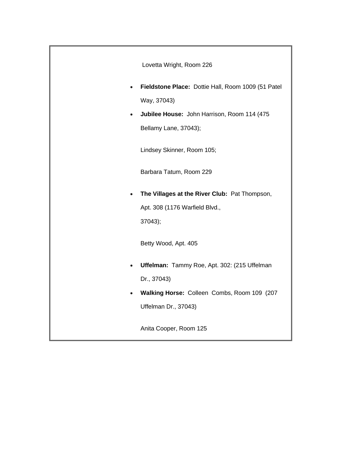|           | Lovetta Wright, Room 226                           |
|-----------|----------------------------------------------------|
| $\bullet$ | Fieldstone Place: Dottie Hall, Room 1009 (51 Patel |
|           | Way, 37043)                                        |
| ٠         | Jubilee House: John Harrison, Room 114 (475        |
|           | Bellamy Lane, 37043);                              |
|           | Lindsey Skinner, Room 105;                         |
|           | Barbara Tatum, Room 229                            |
| $\bullet$ | The Villages at the River Club: Pat Thompson,      |
|           | Apt. 308 (1176 Warfield Blvd.,                     |
|           | 37043);                                            |
|           | Betty Wood, Apt. 405                               |
| $\bullet$ | Uffelman: Tammy Roe, Apt. 302: (215 Uffelman       |
|           | Dr., 37043)                                        |
| $\bullet$ | Walking Horse: Colleen Combs, Room 109 (207        |
|           | Uffelman Dr., 37043)                               |
|           | Anita Cooper, Room 125                             |